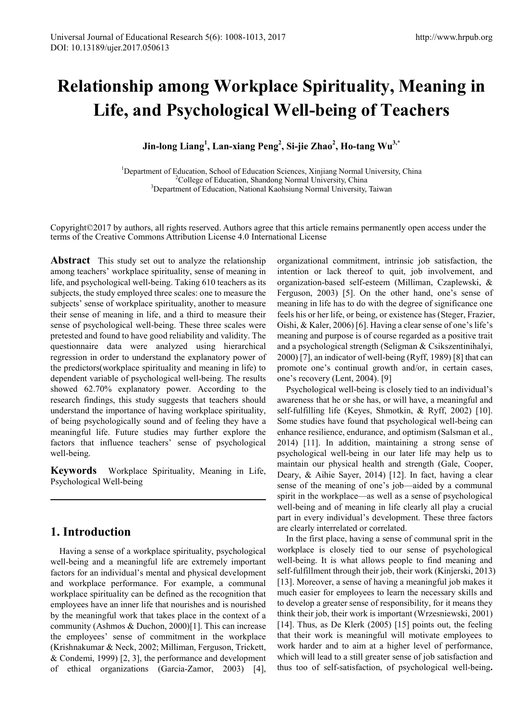# **Relationship among Workplace Spirituality, Meaning in Life, and Psychological Well-being of Teachers**

**Jin-long Liang<sup>1</sup> , Lan-xiang Peng<sup>2</sup> , Si-jie Zhao<sup>2</sup> , Ho-tang Wu3,\***

<sup>1</sup>Department of Education, School of Education Sciences, Xinjiang Normal University, China <sup>2</sup>College of Education, Shandong Normal University, China <sup>3</sup>Department of Education, National Kaobsiung Normal University <sup>3</sup>Department of Education, National Kaohsiung Normal University, Taiwan

Copyright©2017 by authors, all rights reserved. Authors agree that this article remains permanently open access under the terms of the Creative Commons Attribution License 4.0 International License

**Abstract** This study set out to analyze the relationship among teachers' workplace spirituality, sense of meaning in life, and psychological well-being. Taking 610 teachers as its subjects, the study employed three scales: one to measure the subjects' sense of workplace spirituality, another to measure their sense of meaning in life, and a third to measure their sense of psychological well-being. These three scales were pretested and found to have good reliability and validity. The questionnaire data were analyzed using hierarchical regression in order to understand the explanatory power of the predictors(workplace spirituality and meaning in life) to dependent variable of psychological well-being. The results showed 62.70% explanatory power. According to the research findings, this study suggests that teachers should understand the importance of having workplace spirituality, of being psychologically sound and of feeling they have a meaningful life. Future studies may further explore the factors that influence teachers' sense of psychological well-being.

**Keywords** Workplace Spirituality, Meaning in Life, Psychological Well-being

## **1. Introduction**

Having a sense of a workplace spirituality, psychological well-being and a meaningful life are extremely important factors for an individual's mental and physical development and workplace performance. For example, a communal workplace spirituality can be defined as the recognition that employees have an inner life that nourishes and is nourished by the meaningful work that takes place in the context of a community (Ashmos & Duchon, 2000)[1]. This can increase the employees' sense of commitment in the workplace (Krishnakumar & Neck, 2002; Milliman, Ferguson, Trickett, & Condemi, 1999) [2, 3], the performance and development of ethical organizations (Garcia-Zamor, 2003) [4],

organizational commitment, intrinsic job satisfaction, the intention or lack thereof to quit, job involvement, and organization-based self-esteem (Milliman, Czaplewski, & Ferguson, 2003) [5]. On the other hand, one's sense of meaning in life has to do with the degree of significance one feels his or her life, or being, or existence has (Steger, Frazier, Oishi, & Kaler, 2006) [6]. Having a clear sense of one's life's meaning and purpose is of course regarded as a positive trait and a psychological strength (Seligman & Csikszentinihalyi, 2000) [7], an indicator of well-being (Ryff, 1989) [8] that can promote one's continual growth and/or, in certain cases, one's recovery (Lent, 2004). [9]

Psychological well-being is closely tied to an individual's awareness that he or she has, or will have, a meaningful and self-fulfilling life (Keyes, Shmotkin, & Ryff, 2002) [10]. Some studies have found that psychological well-being can enhance resilience, endurance, and optimism (Salsman et al., 2014) [11]. In addition, maintaining a strong sense of psychological well-being in our later life may help us to maintain our physical health and strength (Gale, Cooper, Deary, & Aihie Sayer, 2014) [12]. In fact, having a clear sense of the meaning of one's job—aided by a communal spirit in the workplace—as well as a sense of psychological well-being and of meaning in life clearly all play a crucial part in every individual's development. These three factors are clearly interrelated or correlated.

In the first place, having a sense of communal sprit in the workplace is closely tied to our sense of psychological well-being. It is what allows people to find meaning and self-fulfillment through their job, their work (Kinjerski, 2013) [13]. Moreover, a sense of having a meaningful job makes it much easier for employees to learn the necessary skills and to develop a greater sense of responsibility, for it means they think their job, their work is important (Wrzesniewski, 2001) [14]. Thus, as De Klerk (2005) [15] points out, the feeling that their work is meaningful will motivate employees to work harder and to aim at a higher level of performance, which will lead to a still greater sense of job satisfaction and thus too of self-satisfaction, of psychological well-being**.**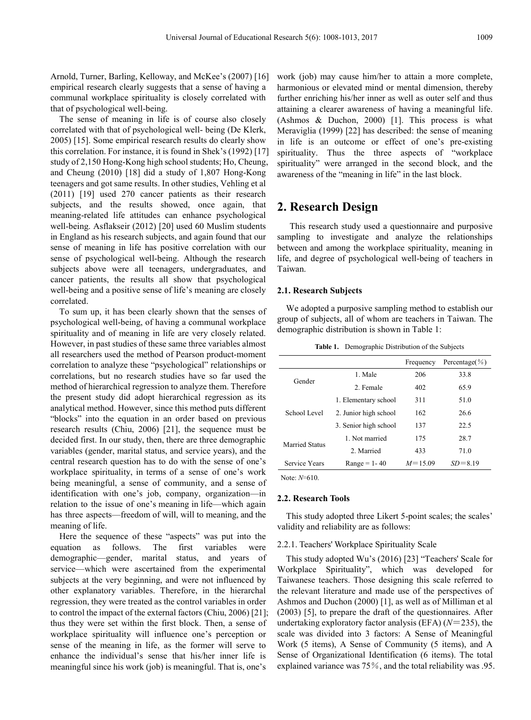Arnold, Turner, Barling, Kelloway, and McKee's (2007) [16] empirical research clearly suggests that a sense of having a communal workplace spirituality is closely correlated with that of psychological well-being.

The sense of meaning in life is of course also closely correlated with that of psychological well- being (De Klerk, 2005) [15]. Some empirical research results do clearly show this correlation. For instance, it is found in Shek's (1992) [17] study of 2,150 Hong-Kong high school students; Ho, Cheung, and Cheung (2010) [18] did a study of 1,807 Hong-Kong teenagers and got same results. In other studies, Vehling et al (2011) [19] used 270 cancer patients as their research subjects, and the results showed, once again, that meaning-related life attitudes can enhance psychological well-being. Asflakseir (2012) [20] used 60 Muslim students in England as his research subjects, and again found that our sense of meaning in life has positive correlation with our sense of psychological well-being. Although the research subjects above were all teenagers, undergraduates, and cancer patients, the results all show that psychological well-being and a positive sense of life's meaning are closely correlated.

To sum up, it has been clearly shown that the senses of psychological well-being, of having a communal workplace spirituality and of meaning in life are very closely related. However, in past studies of these same three variables almost all researchers used the method of Pearson product-moment correlation to analyze these "psychological" relationships or correlations, but no research studies have so far used the method of hierarchical regression to analyze them. Therefore the present study did adopt hierarchical regression as its analytical method. However, since this method puts different "blocks" into the equation in an order based on previous research results (Chiu, 2006) [21], the sequence must be decided first. In our study, then, there are three demographic variables (gender, marital status, and service years), and the central research question has to do with the sense of one's workplace spirituality, in terms of a sense of one's work being meaningful, a sense of community, and a sense of identification with one's job, company, organization—in relation to the issue of one's meaning in life—which again has three aspects—freedom of will, will to meaning, and the meaning of life.

Here the sequence of these "aspects" was put into the equation as follows. The first variables were demographic—gender, marital status, and years of service—which were ascertained from the experimental subjects at the very beginning, and were not influenced by other explanatory variables. Therefore, in the hierarchal regression, they were treated as the control variables in order to control the impact of the external factors (Chiu, 2006) [21]; thus they were set within the first block. Then, a sense of workplace spirituality will influence one's perception or sense of the meaning in life, as the former will serve to enhance the individual's sense that his/her inner life is meaningful since his work (job) is meaningful. That is, one's

work (job) may cause him/her to attain a more complete, harmonious or elevated mind or mental dimension, thereby further enriching his/her inner as well as outer self and thus attaining a clearer awareness of having a meaningful life. (Ashmos & Duchon, 2000) [1]. This process is what Meraviglia (1999) [22] has described: the sense of meaning in life is an outcome or effect of one's pre-existing spirituality. Thus the three aspects of "workplace spirituality" were arranged in the second block, and the awareness of the "meaning in life" in the last block.

## **2. Research Design**

This research study used a questionnaire and purposive sampling to investigate and analyze the relationships between and among the workplace spirituality, meaning in life, and degree of psychological well-being of teachers in Taiwan.

#### **2.1. Research Subjects**

We adopted a purposive sampling method to establish our group of subjects, all of whom are teachers in Taiwan. The demographic distribution is shown in Table 1:

**Table 1.** Demographic Distribution of the Subjects

|                       |                       | Frequency   | Percentage( $\%$ ) |  |
|-----------------------|-----------------------|-------------|--------------------|--|
| Gender                | 1. Male               | 206         | 33.8               |  |
|                       | 2. Female             | 402         | 65.9               |  |
| School Level          | 1. Elementary school  | 311         | 51.0               |  |
|                       | 2. Junior high school | 162         | 26.6               |  |
|                       | 3. Senior high school | 137         | 22.5               |  |
|                       | 1 Not married         | 175         | 28.7               |  |
| <b>Married Status</b> | 2. Married            | 433         | 71.0               |  |
| Service Years         | $Range = 1 - 40$      | $M = 15.09$ | $SD = 8.19$        |  |
| Note: $N=610$ .       |                       |             |                    |  |

### **2.2. Research Tools**

This study adopted three Likert 5-point scales; the scales' validity and reliability are as follows:

#### 2.2.1. Teachers' Workplace Spirituality Scale

This study adopted Wu's (2016) [23] "Teachers' Scale for Workplace Spirituality", which was developed for Taiwanese teachers. Those designing this scale referred to the relevant literature and made use of the perspectives of Ashmos and Duchon (2000) [1], as well as of Milliman et al (2003) [5], to prepare the draft of the questionnaires. After undertaking exploratory factor analysis (EFA) (*N*=235), the scale was divided into 3 factors: A Sense of Meaningful Work (5 items), A Sense of Community (5 items), and A Sense of Organizational Identification (6 items). The total explained variance was 75%, and the total reliability was .95.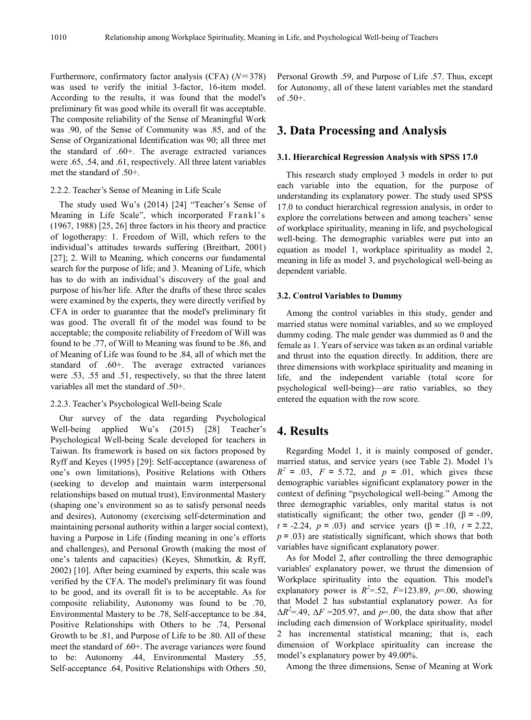Furthermore, confirmatory factor analysis (CFA) (*N*=378) was used to verify the initial 3-factor, 16-item model. According to the results, it was found that the model's preliminary fit was good while its overall fit was acceptable. The composite reliability of the Sense of Meaningful Work was .90, of the Sense of Community was .85, and of the Sense of Organizational Identification was 90; all three met the standard of .60+. The average extracted variances were .65, .54, and .61, respectively. All three latent variables met the standard of .50+.

#### 2.2.2. Teacher's Sense of Meaning in Life Scale

The study used Wu's (2014) [24] "Teacher's Sense of Meaning in Life Scale", which incorporated Frankl's (1967, 1988) [25, 26] three factors in his theory and practice of logotherapy: 1. Freedom of Will, which refers to the individual's attitudes towards suffering (Breitbart, 2001) [27]; 2. Will to Meaning, which concerns our fundamental search for the purpose of life; and 3. Meaning of Life, which has to do with an individual's discovery of the goal and purpose of his/her life. After the drafts of these three scales were examined by the experts, they were directly verified by CFA in order to guarantee that the model's preliminary fit was good. The overall fit of the model was found to be acceptable; the composite reliability of Freedom of Will was found to be .77, of Will to Meaning was found to be .86, and of Meaning of Life was found to be .84, all of which met the standard of .60+. The average extracted variances were .53, .55 and .51, respectively, so that the three latent variables all met the standard of .50+.

#### 2.2.3. Teacher's Psychological Well-being Scale

Our survey of the data regarding Psychological Well-being applied Wu's (2015) [28] Teacher's Psychological Well-being Scale developed for teachers in Taiwan. Its framework is based on six factors proposed by Ryff and Keyes (1995) [29]: Self-acceptance (awareness of one's own limitations), Positive Relations with Others (seeking to develop and maintain warm interpersonal relationships based on mutual trust), Environmental Mastery (shaping one's environment so as to satisfy personal needs and desires), Autonomy (exercising self-determination and maintaining personal authority within a larger social context), having a Purpose in Life (finding meaning in one's efforts and challenges), and Personal Growth (making the most of one's talents and capacities) (Keyes, Shmotkin, & Ryff, 2002) [10]. After being examined by experts, this scale was verified by the CFA. The model's preliminary fit was found to be good, and its overall fit is to be acceptable. As for composite reliability, Autonomy was found to be .70, Environmental Mastery to be .78, Self-acceptance to be .84, Positive Relationships with Others to be .74, Personal Growth to be .81, and Purpose of Life to be .80. All of these meet the standard of .60+. The average variances were found to be: Autonomy .44, Environmental Mastery .55, Self-acceptance .64, Positive Relationships with Others .50,

Personal Growth .59, and Purpose of Life .57. Thus, except for Autonomy, all of these latent variables met the standard of .50+.

## **3. Data Processing and Analysis**

#### **3.1. Hierarchical Regression Analysis with SPSS 17.0**

This research study employed 3 models in order to put each variable into the equation, for the purpose of understanding its explanatory power. The study used SPSS 17.0 to conduct hierarchical regression analysis, in order to explore the correlations between and among teachers' sense of workplace spirituality, meaning in life, and psychological well-being. The demographic variables were put into an equation as model 1, workplace spirituality as model 2, meaning in life as model 3, and psychological well-being as dependent variable.

#### **3.2. Control Variables to Dummy**

Among the control variables in this study, gender and married status were nominal variables, and so we employed dummy coding. The male gender was dummied as 0 and the female as 1. Years of service was taken as an ordinal variable and thrust into the equation directly. In addition, there are three dimensions with workplace spirituality and meaning in life, and the independent variable (total score for psychological well-being)—are ratio variables, so they entered the equation with the row score.

#### **4. Results**

Regarding Model 1, it is mainly composed of gender, married status, and service years (see Table 2). Model 1's  $R^2 = .03$ ,  $F = 5.72$ , and  $p = .01$ , which gives these demographic variables significant explanatory power in the context of defining "psychological well-being." Among the three demographic variables, only marital status is not statistically significant; the other two, gender ( $\beta$  = -.09, *t*=-2.24, *p*=.03) and service years (β=.10, *t*=2.22,  $p = .03$ ) are statistically significant, which shows that both variables have significant explanatory power.

As for Model 2, after controlling the three demographic variables' explanatory power, we thrust the dimension of Workplace spirituality into the equation. This model's explanatory power is  $R^2 = .52$ ,  $F=123.89$ ,  $p=0.00$ , showing that Model 2 has substantial explanatory power. As for  $\Delta R^2 = .49$ ,  $\Delta F = 205.97$ , and  $p = .00$ , the data show that after including each dimension of Workplace spirituality, model 2 has incremental statistical meaning; that is, each dimension of Workplace spirituality can increase the model's explanatory power by 49.00%.

Among the three dimensions, Sense of Meaning at Work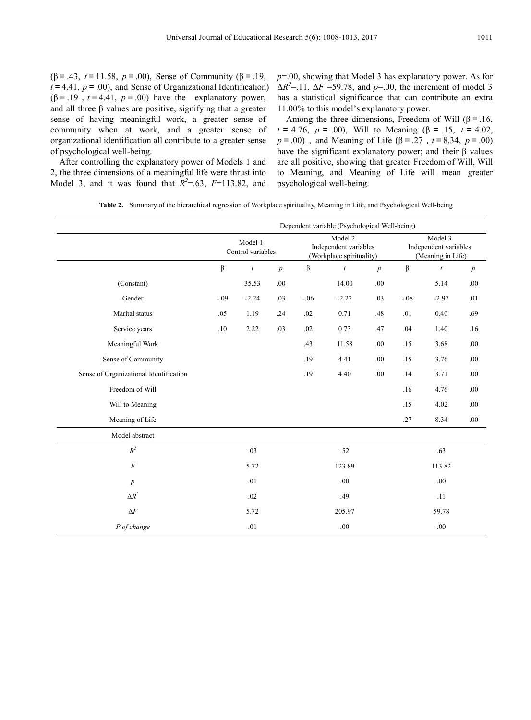( $\beta$  = .43, *t* = 11.58, *p* = .00), Sense of Community ( $\beta$  = .19,  $t = 4.41$ ,  $p = .00$ ), and Sense of Organizational Identification)  $(β = .19, t = 4.41, p = .00)$  have the explanatory power, and all three  $\beta$  values are positive, signifying that a greater sense of having meaningful work, a greater sense of community when at work, and a greater sense of organizational identification all contribute to a greater sense of psychological well-being.

After controlling the explanatory power of Models 1 and 2, the three dimensions of a meaningful life were thrust into Model 3, and it was found that  $R^2 = .63$ ,  $F=113.82$ , and *p*=.00, showing that Model 3 has explanatory power. As for  $\Delta R^2 = 11$ ,  $\Delta F = 59.78$ , and  $p = .00$ , the increment of model 3 has a statistical significance that can contribute an extra 11.00% to this model's explanatory power.

Among the three dimensions, Freedom of Will ( $\beta$  = .16, *t*=4.76, *p*=.00), Will to Meaning (β=.15, *t*=4.02, *p*=.00) , and Meaning of Life (β=.27,*t*=8.34, *p*=.00) have the significant explanatory power; and their β values are all positive, showing that greater Freedom of Will, Will to Meaning, and Meaning of Life will mean greater psychological well-being.

|                                        | Dependent variable (Psychological Well-being) |                  |                  |                                                              |                  |                  |                                                       |                  |                  |  |  |
|----------------------------------------|-----------------------------------------------|------------------|------------------|--------------------------------------------------------------|------------------|------------------|-------------------------------------------------------|------------------|------------------|--|--|
|                                        | Model 1<br>Control variables                  |                  |                  | Model 2<br>Independent variables<br>(Workplace spirituality) |                  |                  | Model 3<br>Independent variables<br>(Meaning in Life) |                  |                  |  |  |
|                                        | $\beta$                                       | $\boldsymbol{t}$ | $\boldsymbol{p}$ | β                                                            | $\boldsymbol{t}$ | $\boldsymbol{p}$ | $\beta$                                               | $\boldsymbol{t}$ | $\boldsymbol{p}$ |  |  |
| (Constant)                             |                                               | 35.53            | $.00\,$          |                                                              | 14.00            | .00              |                                                       | 5.14             | $.00\,$          |  |  |
| Gender                                 | $-.09$                                        | $-2.24$          | .03              | $-.06$                                                       | $-2.22$          | .03              | $-.08$                                                | $-2.97$          | .01              |  |  |
| Marital status                         | .05                                           | 1.19             | .24              | .02                                                          | 0.71             | .48              | .01                                                   | 0.40             | .69              |  |  |
| Service years                          | .10                                           | 2.22             | .03              | .02                                                          | 0.73             | .47              | .04                                                   | 1.40             | .16              |  |  |
| Meaningful Work                        |                                               |                  |                  | .43                                                          | 11.58            | .00.             | .15                                                   | 3.68             | .00              |  |  |
| Sense of Community                     |                                               |                  |                  | .19                                                          | 4.41             | .00.             | .15                                                   | 3.76             | .00              |  |  |
| Sense of Organizational Identification |                                               |                  |                  | .19                                                          | 4.40             | .00              | .14                                                   | 3.71             | .00              |  |  |
| Freedom of Will                        |                                               |                  |                  |                                                              |                  |                  | .16                                                   | 4.76             | .00              |  |  |
| Will to Meaning                        |                                               |                  |                  |                                                              |                  |                  | .15                                                   | 4.02             | .00              |  |  |
| Meaning of Life                        |                                               |                  |                  |                                                              |                  |                  | .27                                                   | 8.34             | .00              |  |  |
| Model abstract                         |                                               |                  |                  |                                                              |                  |                  |                                                       |                  |                  |  |  |
| $R^2$                                  |                                               | .03              |                  |                                                              | .52              |                  |                                                       | .63              |                  |  |  |
| $\overline{F}$                         |                                               | 5.72             |                  |                                                              | 123.89           |                  |                                                       | 113.82           |                  |  |  |
| $\boldsymbol{p}$                       |                                               | .01              |                  |                                                              | .00              |                  |                                                       | .00              |                  |  |  |
| $\Delta R^2$                           |                                               | .02              |                  |                                                              | .49              |                  |                                                       | .11              |                  |  |  |
| $\Delta F$                             |                                               | 5.72             |                  |                                                              | 205.97           |                  |                                                       | 59.78            |                  |  |  |
| P of change                            |                                               | .01              |                  |                                                              | .00              |                  |                                                       | .00.             |                  |  |  |

**Table 2.** Summary of the hierarchical regression of Workplace spirituality, Meaning in Life, and Psychological Well-being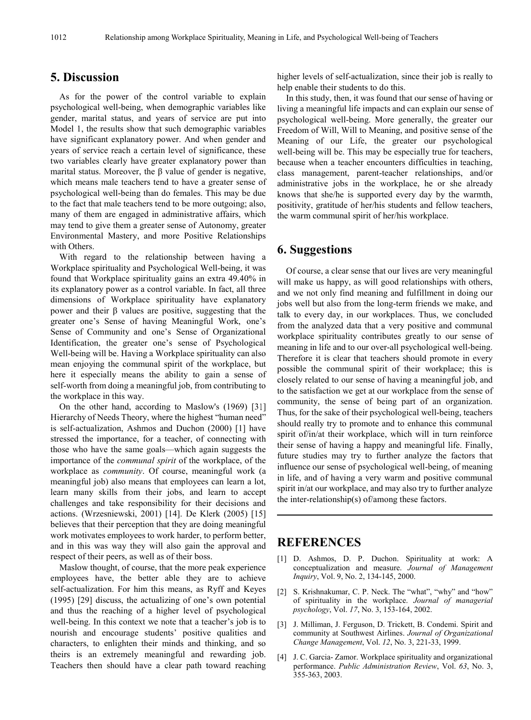## **5. Discussion**

As for the power of the control variable to explain psychological well-being, when demographic variables like gender, marital status, and years of service are put into Model 1, the results show that such demographic variables have significant explanatory power. And when gender and years of service reach a certain level of significance, these two variables clearly have greater explanatory power than marital status. Moreover, the β value of gender is negative, which means male teachers tend to have a greater sense of psychological well-being than do females. This may be due to the fact that male teachers tend to be more outgoing; also, many of them are engaged in administrative affairs, which may tend to give them a greater sense of Autonomy, greater Environmental Mastery, and more Positive Relationships with Others.

With regard to the relationship between having a Workplace spirituality and Psychological Well-being, it was found that Workplace spirituality gains an extra 49.40% in its explanatory power as a control variable. In fact, all three dimensions of Workplace spirituality have explanatory power and their β values are positive, suggesting that the greater one's Sense of having Meaningful Work, one's Sense of Community and one's Sense of Organizational Identification, the greater one's sense of Psychological Well-being will be. Having a Workplace spirituality can also mean enjoying the communal spirit of the workplace, but here it especially means the ability to gain a sense of self-worth from doing a meaningful job, from contributing to the workplace in this way.

On the other hand, according to Maslow's (1969) [31] Hierarchy of Needs Theory, where the highest "human need" is self-actualization, Ashmos and Duchon (2000) [1] have stressed the importance, for a teacher, of connecting with those who have the same goals—which again suggests the importance of the *communal spirit* of the workplace, of the workplace as *community*. Of course, meaningful work (a meaningful job) also means that employees can learn a lot, learn many skills from their jobs, and learn to accept challenges and take responsibility for their decisions and actions. (Wrzesniewski, 2001) [14]. De Klerk (2005) [15] believes that their perception that they are doing meaningful work motivates employees to work harder, to perform better, and in this was way they will also gain the approval and respect of their peers, as well as of their boss.

Maslow thought, of course, that the more peak experience employees have, the better able they are to achieve self-actualization. For him this means, as Ryff and Keyes (1995) [29] discuss, the actualizing of one's own potential and thus the reaching of a higher level of psychological well-being. In this context we note that a teacher's job is to nourish and encourage students' positive qualities and characters, to enlighten their minds and thinking, and so theirs is an extremely meaningful and rewarding job. Teachers then should have a clear path toward reaching higher levels of self-actualization, since their job is really to help enable their students to do this.

In this study, then, it was found that our sense of having or living a meaningful life impacts and can explain our sense of psychological well-being. More generally, the greater our Freedom of Will, Will to Meaning, and positive sense of the Meaning of our Life, the greater our psychological well-being will be. This may be especially true for teachers, because when a teacher encounters difficulties in teaching, class management, parent-teacher relationships, and/or administrative jobs in the workplace, he or she already knows that she/he is supported every day by the warmth, positivity, gratitude of her/his students and fellow teachers, the warm communal spirit of her/his workplace.

## **6. Suggestions**

Of course, a clear sense that our lives are very meaningful will make us happy, as will good relationships with others, and we not only find meaning and fulfillment in doing our jobs well but also from the long-term friends we make, and talk to every day, in our workplaces. Thus, we concluded from the analyzed data that a very positive and communal workplace spirituality contributes greatly to our sense of meaning in life and to our over-all psychological well-being. Therefore it is clear that teachers should promote in every possible the communal spirit of their workplace; this is closely related to our sense of having a meaningful job, and to the satisfaction we get at our workplace from the sense of community, the sense of being part of an organization. Thus, for the sake of their psychological well-being, teachers should really try to promote and to enhance this communal spirit of/in/at their workplace, which will in turn reinforce their sense of having a happy and meaningful life. Finally, future studies may try to further analyze the factors that influence our sense of psychological well-being, of meaning in life, and of having a very warm and positive communal spirit in/at our workplace, and may also try to further analyze the inter-relationship(s) of/among these factors.

## **REFERENCES**

- [1] D. Ashmos, D. P. Duchon. Spirituality at work: A conceptualization and measure. *Journal of Management Inquiry*, Vol. 9, No. 2, 134-145, 2000.
- [2] S. Krishnakumar, C. P. Neck. The "what", "why" and "how" of spirituality in the workplace. *Journal of managerial psychology*, Vol. *17*, No. 3, 153-164, 2002.
- [3] J. Milliman, J. Ferguson, D. Trickett, B. Condemi. Spirit and community at Southwest Airlines. *Journal of Organizational Change Management*, Vol. *12*, No. 3, 221-33, 1999.
- [4] J. C. Garcia- Zamor. Workplace spirituality and organizational performance. *Public Administration Review*, Vol. *63*, No. 3, 355-363, 2003.